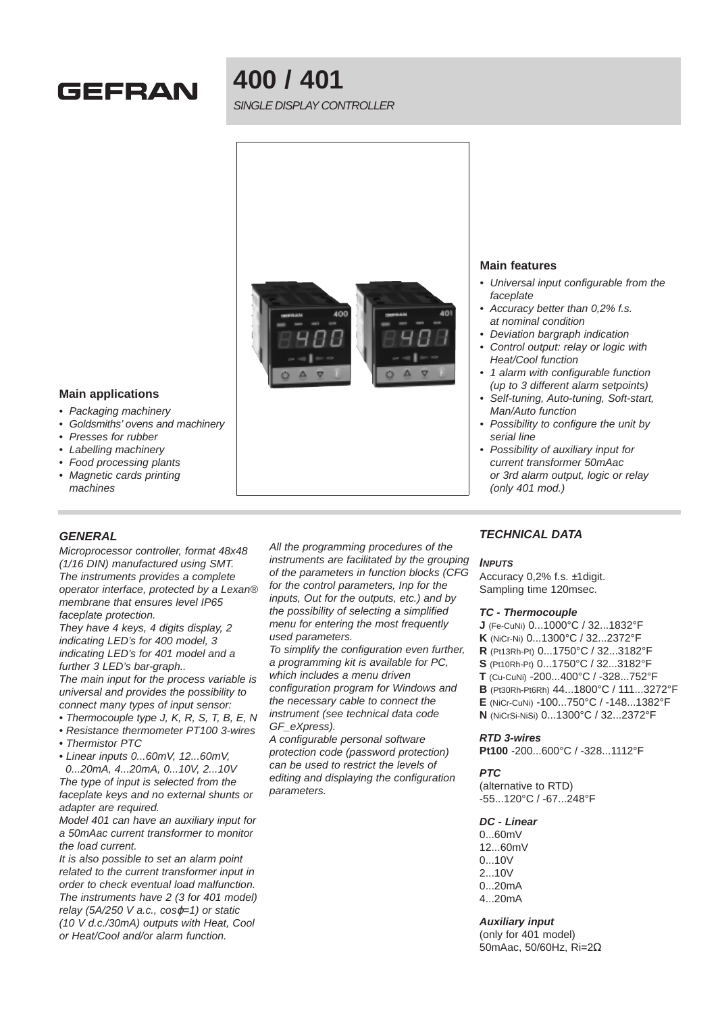

# **400 / 401**

SINGLE DISPLAY CONTROLLER



# **Main features**

- Universal input configurable from the faceplate
- Accuracy better than 0,2% f.s. at nominal condition
- Deviation bargraph indication
- Control output: relay or logic with Heat/Cool function
- 1 alarm with configurable function (up to 3 different alarm setpoints)
- Self-tuning, Auto-tuning, Soft-start, Man/Auto function
- Possibility to configure the unit by serial line
- Possibility of auxiliary input for current transformer 50mAac or 3rd alarm output, logic or relay (only 401 mod.)

#### **Main applications**

- Packaging machinery
- Goldsmiths' ovens and machinery
- Presses for rubber
- Labelling machinery
- Food processing plants
- Magnetic cards printing machines

# **GENERAL**

Microprocessor controller, format 48x48 (1/16 DIN) manufactured using SMT. The instruments provides a complete operator interface, protected by a Lexan® membrane that ensures level IP65 faceplate protection.

They have 4 keys, 4 digits display, 2 indicating LED's for 400 model, 3 indicating LED's for 401 model and a further 3 LED's bar-graph..

The main input for the process variable is universal and provides the possibility to connect many types of input sensor:

- Thermocouple type J, K, R, S, T, B, E, N
- Resistance thermometer PT100 3-wires
- Thermistor PTC
- Linear inputs 0...60mV, 12...60mV,

0...20mA, 4...20mA, 0...10V, 2...10V The type of input is selected from the faceplate keys and no external shunts or adapter are required.

Model 401 can have an auxiliary input for a 50mAac current transformer to monitor the load current.

It is also possible to set an alarm point related to the current transformer input in order to check eventual load malfunction. The instruments have 2 (3 for 401 model) relay (5A/250 V a.c.,  $cos\varphi=1$ ) or static (10 V d.c./30mA) outputs with Heat, Cool or Heat/Cool and/or alarm function.

All the programming procedures of the instruments are facilitated by the grouping of the parameters in function blocks (CFG for the control parameters, Inp for the inputs, Out for the outputs, etc.) and by the possibility of selecting a simplified menu for entering the most frequently used parameters.

To simplify the configuration even further, a programming kit is available for PC, which includes a menu driven configuration program for Windows and the necessary cable to connect the instrument (see technical data code GF\_eXpress).

A configurable personal software protection code (password protection) can be used to restrict the levels of editing and displaying the configuration parameters.

# **TECHNICAL DATA**

#### **INPUTS**

Accuracy 0,2% f.s. ±1digit. Sampling time 120msec.

#### **TC - Thermocouple**

- **J** (Fe-CuNi) 0...1000°C / 32...1832°F
- **K** (NiCr-Ni) 0...1300°C / 32...2372°F
- **R** (Pt13Rh-Pt) 0...1750°C / 32...3182°F
- **S** (Pt10Rh-Pt) 0...1750°C / 32...3182°F
- **T** (Cu-CuNi) -200...400°C / -328...752°F
- **B** (Pt30Rh-Pt6Rh) 44...1800°C / 111...3272°F
- **E** (NiCr-CuNi) -100...750°C / -148...1382°F
- **N** (NiCrSi-NiSi) 0...1300°C / 32...2372°F

#### **RTD 3-wires**

**Pt100** -200...600°C / -328...1112°F

#### **PTC**

(alternative to RTD) -55...120°C / -67...248°F

# **DC - Linear**

0...60mV 12...60mV 0...10V 2...10V 0...20mA 4...20mA

# **Auxiliary input**

(only for 401 model) 50mAac, 50/60Hz, Ri=2Ω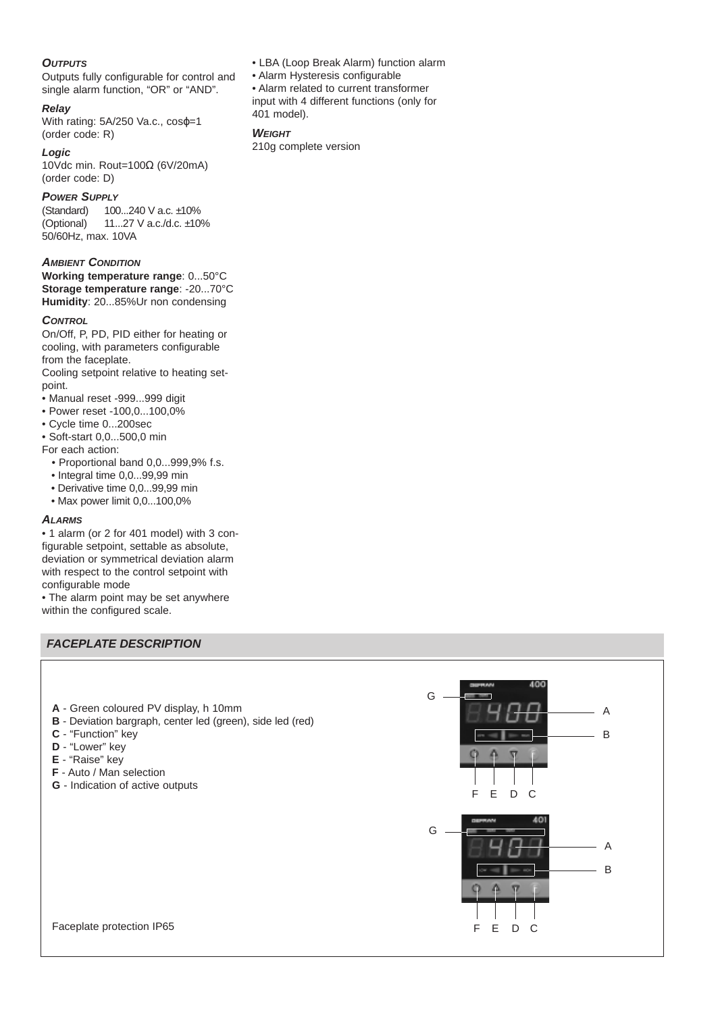# **OUTPUTS**

Outputs fully configurable for control and single alarm function, "OR" or "AND".

#### **Relay**

With rating: 5A/250 Va.c., cos  $\varphi$ =1 (order code: R)

## **Logic**

10Vdc min. Rout=100Ω (6V/20mA) (order code: D)

# **POWER SUPPLY**

(Standard) 100...240 V a.c. ±10% (Optional) 11...27 V a.c./d.c. ±10% 50/60Hz, max. 10VA

#### **AMBIENT CONDITION**

**Working temperature range**: 0...50°C **Storage temperature range**: -20...70°C **Humidity**: 20...85%Ur non condensing

#### **CONTROL**

On/Off, P, PD, PID either for heating or cooling, with parameters configurable from the faceplate.

Cooling setpoint relative to heating setpoint.

• Manual reset -999...999 digit

- Power reset -100,0...100,0%
- Cycle time 0...200sec
- Soft-start 0,0...500,0 min
- For each action:
	- Proportional band 0,0...999,9% f.s.
	- Integral time 0,0...99,99 min
	- Derivative time 0,0...99,99 min
	- Max power limit 0,0...100,0%

# **ALARMS**

• 1 alarm (or 2 for 401 model) with 3 configurable setpoint, settable as absolute, deviation or symmetrical deviation alarm with respect to the control setpoint with configurable mode

• The alarm point may be set anywhere within the configured scale.

# **FACEPLATE DESCRIPTION**

- **A** Green coloured PV display, h 10mm
- **B** Deviation bargraph, center led (green), side led (red)
- **C** "Function" key
- **D** "Lower" key
- **E** "Raise" key
- **F** Auto / Man selection
- **G** Indication of active outputs

F G A B E DC F G A B E DC

- Alarm Hysteresis configurable
- Alarm related to current transformer input with 4 different functions (only for 401 model).

• LBA (Loop Break Alarm) function alarm

## **WEIGHT**

210g complete version

Faceplate protection IP65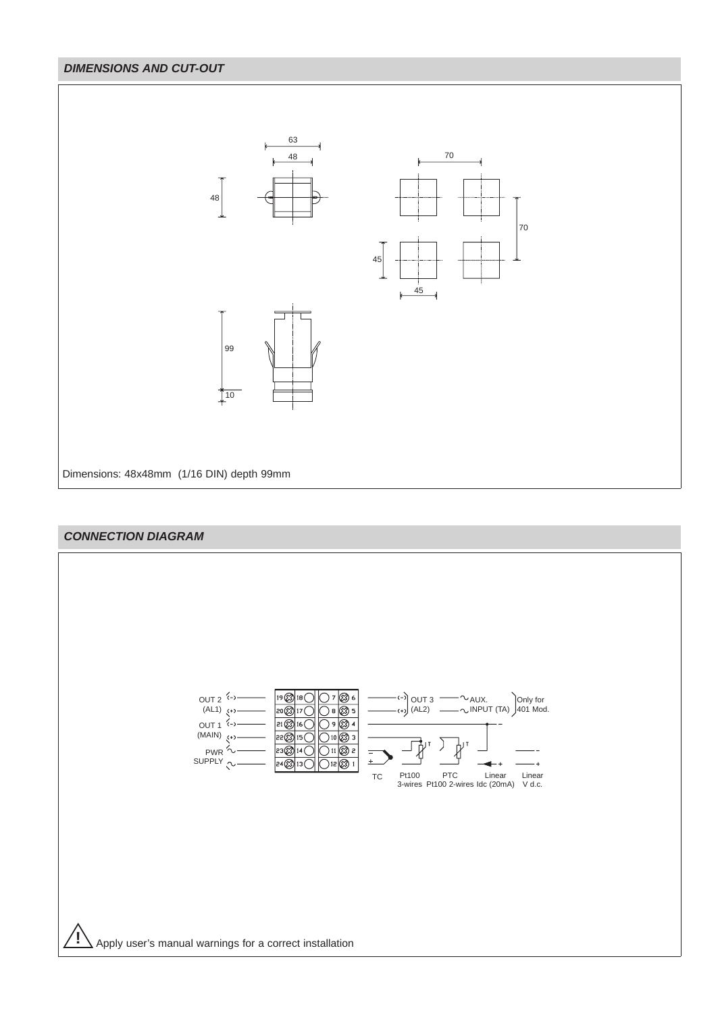# **DIMENSIONS AND CUT-OUT**